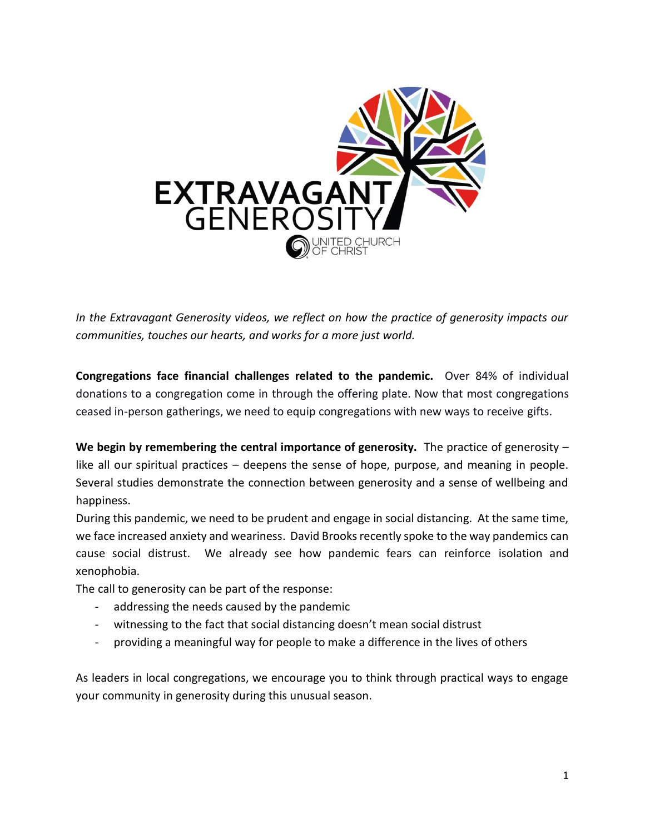

*In the Extravagant Generosity videos, we reflect on how the practice of generosity impacts our communities, touches our hearts, and works for a more just world.* 

**Congregations face financial challenges related to the pandemic.** Over 84% of individual donations to a congregation come in through the offering plate. Now that most congregations ceased in-person gatherings, we need to equip congregations with new ways to receive gifts.

**We begin by remembering the central importance of generosity.** The practice of generosity – like all our spiritual practices – deepens the sense of hope, purpose, and meaning in people. Several studies demonstrate the connection between generosity and a sense of wellbeing and happiness.

During this pandemic, we need to be prudent and engage in social distancing. At the same time, we face increased anxiety and weariness. David Brooks recently spoke to the way pandemics can cause social distrust. We already see how pandemic fears can reinforce isolation and xenophobia.

The call to generosity can be part of the response:

- addressing the needs caused by the pandemic
- witnessing to the fact that social distancing doesn't mean social distrust
- providing a meaningful way for people to make a difference in the lives of others

As leaders in local congregations, we encourage you to think through practical ways to engage your community in generosity during this unusual season.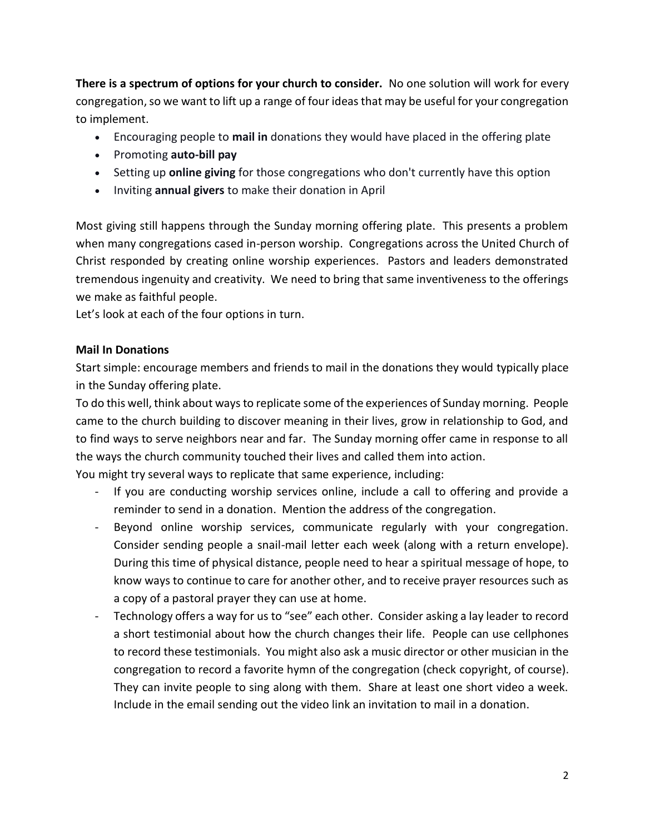**There is a spectrum of options for your church to consider.** No one solution will work for every congregation, so we want to lift up a range of four ideas that may be useful for your congregation to implement.

- Encouraging people to **mail in** donations they would have placed in the offering plate
- Promoting **auto-bill pay**
- Setting up **online giving** for those congregations who don't currently have this option
- Inviting **annual givers** to make their donation in April

Most giving still happens through the Sunday morning offering plate. This presents a problem when many congregations cased in-person worship. Congregations across the United Church of Christ responded by creating online worship experiences. Pastors and leaders demonstrated tremendous ingenuity and creativity. We need to bring that same inventiveness to the offerings we make as faithful people.

Let's look at each of the four options in turn.

#### **Mail In Donations**

Start simple: encourage members and friends to mail in the donations they would typically place in the Sunday offering plate.

To do this well, think about ways to replicate some of the experiences of Sunday morning. People came to the church building to discover meaning in their lives, grow in relationship to God, and to find ways to serve neighbors near and far. The Sunday morning offer came in response to all the ways the church community touched their lives and called them into action.

You might try several ways to replicate that same experience, including:

- If you are conducting worship services online, include a call to offering and provide a reminder to send in a donation. Mention the address of the congregation.
- Beyond online worship services, communicate regularly with your congregation. Consider sending people a snail-mail letter each week (along with a return envelope). During this time of physical distance, people need to hear a spiritual message of hope, to know ways to continue to care for another other, and to receive prayer resources such as a copy of a pastoral prayer they can use at home.
- Technology offers a way for us to "see" each other. Consider asking a lay leader to record a short testimonial about how the church changes their life. People can use cellphones to record these testimonials. You might also ask a music director or other musician in the congregation to record a favorite hymn of the congregation (check copyright, of course). They can invite people to sing along with them. Share at least one short video a week. Include in the email sending out the video link an invitation to mail in a donation.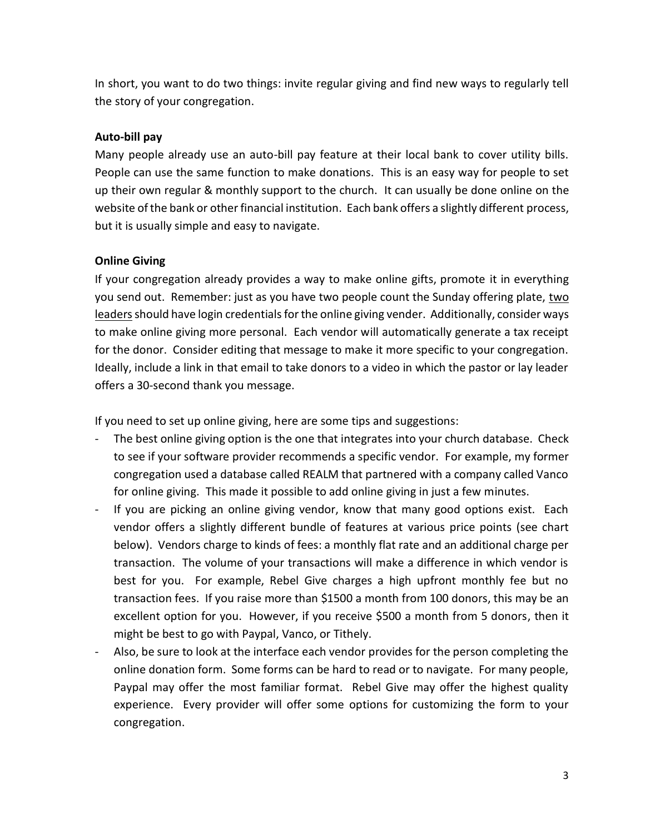In short, you want to do two things: invite regular giving and find new ways to regularly tell the story of your congregation.

## **Auto-bill pay**

Many people already use an auto-bill pay feature at their local bank to cover utility bills. People can use the same function to make donations. This is an easy way for people to set up their own regular & monthly support to the church. It can usually be done online on the website of the bank or other financial institution. Each bank offers a slightly different process, but it is usually simple and easy to navigate.

## **Online Giving**

If your congregation already provides a way to make online gifts, promote it in everything you send out. Remember: just as you have two people count the Sunday offering plate, two leaders should have login credentials for the online giving vender. Additionally, consider ways to make online giving more personal. Each vendor will automatically generate a tax receipt for the donor. Consider editing that message to make it more specific to your congregation. Ideally, include a link in that email to take donors to a video in which the pastor or lay leader offers a 30-second thank you message.

If you need to set up online giving, here are some tips and suggestions:

- The best online giving option is the one that integrates into your church database. Check to see if your software provider recommends a specific vendor. For example, my former congregation used a database called REALM that partnered with a company called Vanco for online giving. This made it possible to add online giving in just a few minutes.
- If you are picking an online giving vendor, know that many good options exist. Each vendor offers a slightly different bundle of features at various price points (see chart below). Vendors charge to kinds of fees: a monthly flat rate and an additional charge per transaction. The volume of your transactions will make a difference in which vendor is best for you. For example, Rebel Give charges a high upfront monthly fee but no transaction fees. If you raise more than \$1500 a month from 100 donors, this may be an excellent option for you. However, if you receive \$500 a month from 5 donors, then it might be best to go with Paypal, Vanco, or Tithely.
- Also, be sure to look at the interface each vendor provides for the person completing the online donation form. Some forms can be hard to read or to navigate. For many people, Paypal may offer the most familiar format. Rebel Give may offer the highest quality experience. Every provider will offer some options for customizing the form to your congregation.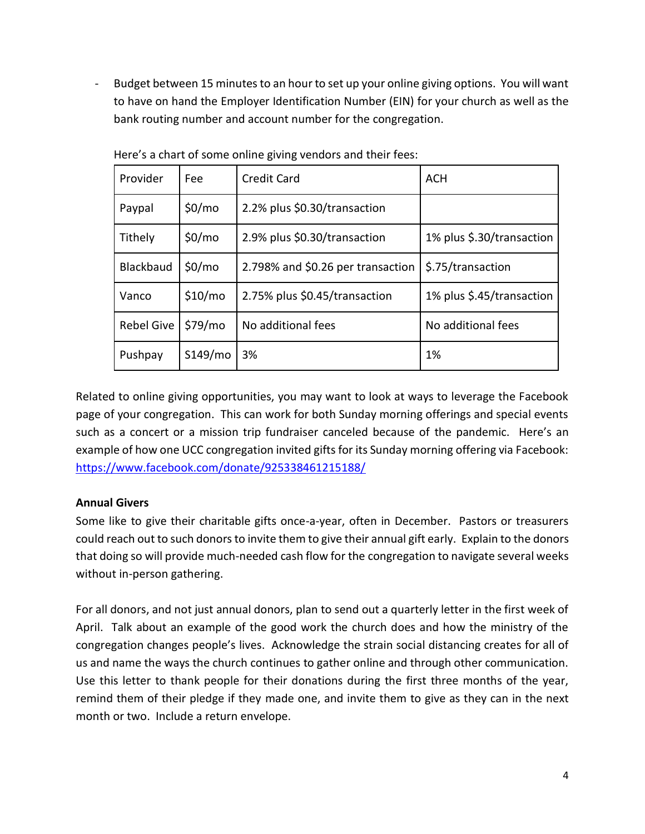- Budget between 15 minutes to an hour to set up your online giving options. You will want to have on hand the Employer Identification Number (EIN) for your church as well as the bank routing number and account number for the congregation.

| Provider          | Fee                | <b>Credit Card</b>                | <b>ACH</b>                |
|-------------------|--------------------|-----------------------------------|---------------------------|
| Paypal            | \$0/m <sub>o</sub> | 2.2% plus \$0.30/transaction      |                           |
| Tithely           | \$0/m <sub>o</sub> | 2.9% plus \$0.30/transaction      | 1% plus \$.30/transaction |
| <b>Blackbaud</b>  | \$0/m <sub>o</sub> | 2.798% and \$0.26 per transaction | \$.75/transaction         |
| Vanco             | \$10/mo            | 2.75% plus \$0.45/transaction     | 1% plus \$.45/transaction |
| <b>Rebel Give</b> | \$79/mo            | No additional fees                | No additional fees        |
| Pushpay           | S149/mo            | 3%                                | 1%                        |

Here's a chart of some online giving vendors and their fees:

Related to online giving opportunities, you may want to look at ways to leverage the Facebook page of your congregation. This can work for both Sunday morning offerings and special events such as a concert or a mission trip fundraiser canceled because of the pandemic. Here's an example of how one UCC congregation invited gifts for its Sunday morning offering via Facebook: <https://www.facebook.com/donate/925338461215188/>

# **Annual Givers**

Some like to give their charitable gifts once-a-year, often in December. Pastors or treasurers could reach out to such donors to invite them to give their annual gift early. Explain to the donors that doing so will provide much-needed cash flow for the congregation to navigate several weeks without in-person gathering.

For all donors, and not just annual donors, plan to send out a quarterly letter in the first week of April. Talk about an example of the good work the church does and how the ministry of the congregation changes people's lives. Acknowledge the strain social distancing creates for all of us and name the ways the church continues to gather online and through other communication. Use this letter to thank people for their donations during the first three months of the year, remind them of their pledge if they made one, and invite them to give as they can in the next month or two. Include a return envelope.